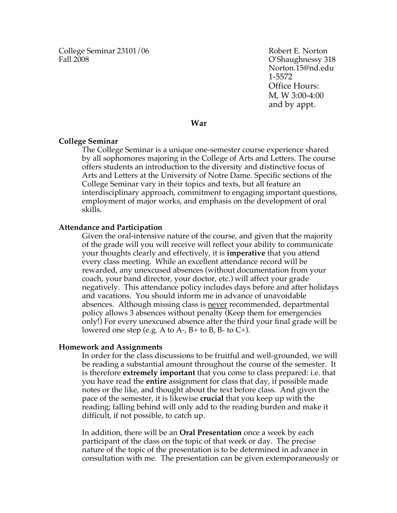College Seminar 23101/06 Robert E. Norton Fall 2008 C'Shaughnessy 318

Norton.15@nd.edu 1-5572 Office Hours: M, W 3:00-4:00 and by appt.

**War**

#### **College Seminar**

The College Seminar is a unique one-semester course experience shared by all sophomores majoring in the College of Arts and Letters. The course offers students an introduction to the diversity and distinctive focus of Arts and Letters at the University of Notre Dame. Specific sections of the College Seminar vary in their topics and texts, but all feature an interdisciplinary approach, commitment to engaging important questions, employment of major works, and emphasis on the development of oral skills.

### **Attendance and Participation**

Given the oral-intensive nature of the course, and given that the majority of the grade will you will receive will reflect your ability to communicate your thoughts clearly and effectively, it is **imperative** that you attend every class meeting. While an excellent attendance record will be rewarded, any unexcused absences (without documentation from your coach, your band director, your doctor, etc.) will affect your grade negatively. This attendance policy includes days before and after holidays and vacations. You should inform me in advance of unavoidable absences. Although missing class is never recommended, departmental policy allows 3 absences without penalty (Keep them for emergencies only!) For every unexcused absence after the third your final grade will be lowered one step (e.g. A to A-,  $B$ + to B, B- to C+).

#### **Homework and Assignments**

In order for the class discussions to be fruitful and well-grounded, we will be reading a substantial amount throughout the course of the semester. It is therefore **extremely important** that you come to class prepared: i.e. that you have read the **entire** assignment for class that day, if possible made notes or the like, and thought about the text before class. And given the pace of the semester, it is likewise **crucial** that you keep up with the reading; falling behind will only add to the reading burden and make it difficult, if not possible, to catch up.

In addition, there will be an **Oral Presentation** once a week by each participant of the class on the topic of that week or day. The precise nature of the topic of the presentation is to be determined in advance in consultation with me. The presentation can be given extemporaneously or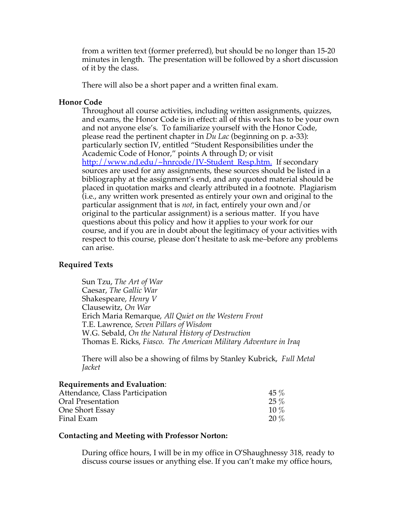from a written text (former preferred), but should be no longer than 15-20 minutes in length. The presentation will be followed by a short discussion of it by the class.

There will also be a short paper and a written final exam.

## **Honor Code**

Throughout all course activities, including written assignments, quizzes, and exams, the Honor Code is in effect: all of this work has to be your own and not anyone else's. To familiarize yourself with the Honor Code, please read the pertinent chapter in *Du Lac* (beginning on p. a-33): particularly section IV, entitled "Student Responsibilities under the Academic Code of Honor," points A through D; or visit http://www.nd.edu/~hnrcode/IV-Student\_Resp.htm. If secondary sources are used for any assignments, these sources should be listed in a bibliography at the assignment's end, and any quoted material should be placed in quotation marks and clearly attributed in a footnote. Plagiarism (i.e., any written work presented as entirely your own and original to the particular assignment that is *not*, in fact, entirely your own and/or original to the particular assignment) is a serious matter. If you have questions about this policy and how it applies to your work for our course, and if you are in doubt about the legitimacy of your activities with respect to this course, please don't hesitate to ask me–before any problems can arise.

# **Required Texts**

Sun Tzu, *The Art of War* Caesar, *The Gallic War* Shakespeare, *Henry V* Clausewitz, *On War* Erich Maria Remarque, *All Quiet on the Western Front* T.E. Lawrence, *Seven Pillars of Wisdom* W.G. Sebald, *On the Natural History of Destruction* Thomas E. Ricks, *Fiasco. The American Military Adventure in Iraq*

There will also be a showing of films by Stanley Kubrick, *Full Metal Jacket*

### **Requirements and Evaluation**:

| Attendance, Class Participation | $45\%$  |
|---------------------------------|---------|
| Oral Presentation               | $25\%$  |
| One Short Essay                 | $10\%$  |
| Final Exam                      | $20 \%$ |

### **Contacting and Meeting with Professor Norton:**

During office hours, I will be in my office in O'Shaughnessy 318, ready to discuss course issues or anything else. If you can't make my office hours,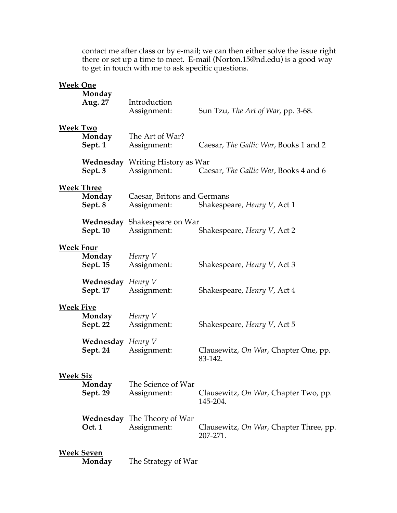contact me after class or by e-mail; we can then either solve the issue right there or set up a time to meet. E-mail (Norton.15@nd.edu) is a good way to get in touch with me to ask specific questions.

| <b>Week One</b>  | Monday<br>Aug. 27                           | Introduction<br>Assignment:                            | Sun Tzu, The Art of War, pp. 3-68.                 |
|------------------|---------------------------------------------|--------------------------------------------------------|----------------------------------------------------|
| <b>Week Two</b>  | Sept. 1                                     | <b>Monday</b> The Art of War?<br>Assignment:           | Caesar, The Gallic War, Books 1 and 2              |
|                  | Sept. 3                                     | <b>Wednesday</b> Writing History as War<br>Assignment: | Caesar, The Gallic War, Books 4 and 6              |
|                  | <b>Week Three</b><br>Monday<br>Sept. 8      | Caesar, Britons and Germans                            | Assignment: Shakespeare, <i>Henry V</i> , Act 1    |
|                  | Sept. 10                                    | Wednesday Shakespeare on War<br>Assignment:            | Shakespeare, Henry V, Act 2                        |
| <b>Week Four</b> | Monday<br><b>Sept. 15</b>                   | Henry V<br>Assignment:                                 | Shakespeare, <i>Henry V</i> , Act 3                |
|                  | <b>Wednesday</b> Henry V<br><b>Sept. 17</b> | Assignment:                                            | Shakespeare, <i>Henry V</i> , Act 4                |
| <b>Week Five</b> | Monday<br><b>Sept. 22</b>                   | Henry V<br>Assignment:                                 | Shakespeare, <i>Henry V</i> , Act 5                |
|                  | <b>Wednesday</b> Henry V<br>Sept. 24        | Assignment:                                            | Clausewitz, On War, Chapter One, pp.<br>83-142.    |
| <b>Week Six</b>  | Monday<br>Sept. 29                          | The Science of War<br>Assignment:                      | Clausewitz, On War, Chapter Two, pp.<br>145-204.   |
|                  | Oct. 1                                      | <b>Wednesday</b> The Theory of War<br>Assignment:      | Clausewitz, On War, Chapter Three, pp.<br>207-271. |
|                  | <b>Week Seven</b><br>Monday                 | The Strategy of War                                    |                                                    |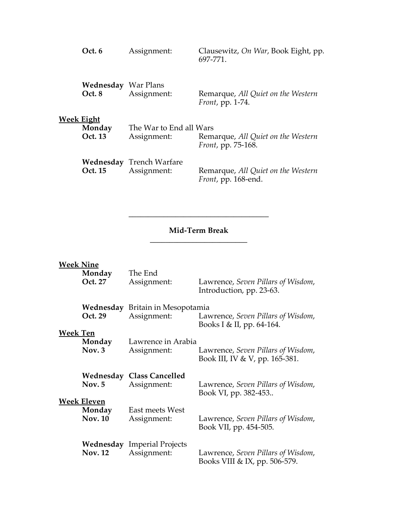| <b>Week Eight</b> | Oct. 6                               | Assignment:                                    | Clausewitz, On War, Book Eight, pp.<br>697-771.                |
|-------------------|--------------------------------------|------------------------------------------------|----------------------------------------------------------------|
|                   | <b>Wednesday</b> War Plans<br>Oct. 8 | Assignment:                                    | Remarque, All Quiet on the Western<br><i>Front</i> , pp. 1-74. |
|                   | Monday<br>Oct. 13                    | The War to End all Wars<br>Assignment:         | Remarque, All Quiet on the Western<br>Front, pp. 75-168.       |
|                   | <b>Oct. 15</b>                       | <b>Wednesday</b> Trench Warfare<br>Assignment: | Remarque, All Quiet on the Western<br>Front, pp. 168-end.      |

# **Mid-Term Break \_\_\_\_\_\_\_\_\_\_\_\_\_\_\_\_\_\_\_\_\_\_\_\_\_**

**\_\_\_\_\_\_\_\_\_\_\_\_\_\_\_\_\_\_\_\_\_\_\_\_\_\_\_\_\_\_\_\_\_\_\_\_**

| <b>Week Nine</b> | Monday             | The End                                           | Lawrence, Seven Pillars of Wisdom,                                  |
|------------------|--------------------|---------------------------------------------------|---------------------------------------------------------------------|
|                  | Oct. 27            | Assignment:                                       | Introduction, pp. 23-63.                                            |
|                  | Oct. 29            | Wednesday Britain in Mesopotamia<br>Assignment:   | Lawrence, Seven Pillars of Wisdom,<br>Books I & II, pp. 64-164.     |
| <b>Week Ten</b>  | Monday             | Lawrence in Arabia                                | Lawrence, Seven Pillars of Wisdom,                                  |
|                  | Nov. 3             | Assignment:                                       | Book III, IV & V, pp. 165-381.                                      |
|                  | Nov. 5             | <b>Wednesday Class Cancelled</b>                  | Lawrence, Seven Pillars of Wisdom,                                  |
|                  | <b>Week Eleven</b> | Assignment:                                       | Book VI, pp. 382-453                                                |
|                  | Monday             | East meets West                                   | Lawrence, Seven Pillars of Wisdom,                                  |
|                  | <b>Nov. 10</b>     | Assignment:                                       | Book VII, pp. 454-505.                                              |
|                  | <b>Nov. 12</b>     | <b>Wednesday</b> Imperial Projects<br>Assignment: | Lawrence, Seven Pillars of Wisdom,<br>Books VIII & IX, pp. 506-579. |